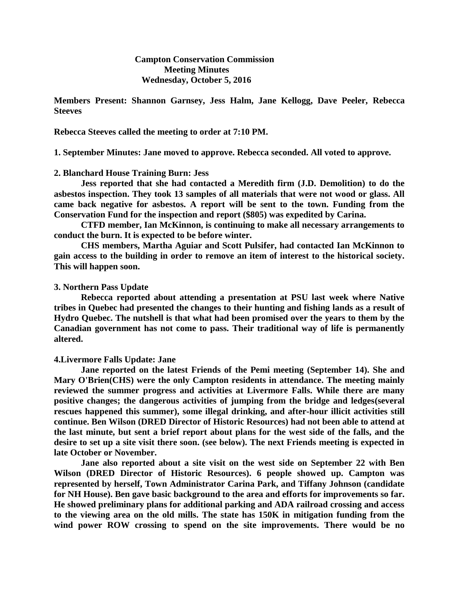**Campton Conservation Commission Meeting Minutes Wednesday, October 5, 2016**

**Members Present: Shannon Garnsey, Jess Halm, Jane Kellogg, Dave Peeler, Rebecca Steeves**

**Rebecca Steeves called the meeting to order at 7:10 PM.**

**1. September Minutes: Jane moved to approve. Rebecca seconded. All voted to approve.**

# **2. Blanchard House Training Burn: Jess**

**Jess reported that she had contacted a Meredith firm (J.D. Demolition) to do the asbestos inspection. They took 13 samples of all materials that were not wood or glass. All came back negative for asbestos. A report will be sent to the town. Funding from the Conservation Fund for the inspection and report (\$805) was expedited by Carina.**

**CTFD member, Ian McKinnon, is continuing to make all necessary arrangements to conduct the burn. It is expected to be before winter.** 

**CHS members, Martha Aguiar and Scott Pulsifer, had contacted Ian McKinnon to gain access to the building in order to remove an item of interest to the historical society. This will happen soon.** 

#### **3. Northern Pass Update**

**Rebecca reported about attending a presentation at PSU last week where Native tribes in Quebec had presented the changes to their hunting and fishing lands as a result of Hydro Quebec. The nutshell is that what had been promised over the years to them by the Canadian government has not come to pass. Their traditional way of life is permanently altered.**

## **4.Livermore Falls Update: Jane**

**Jane reported on the latest Friends of the Pemi meeting (September 14). She and Mary O'Brien(CHS) were the only Campton residents in attendance. The meeting mainly reviewed the summer progress and activities at Livermore Falls. While there are many positive changes; the dangerous activities of jumping from the bridge and ledges(several rescues happened this summer), some illegal drinking, and after-hour illicit activities still continue. Ben Wilson (DRED Director of Historic Resources) had not been able to attend at the last minute, but sent a brief report about plans for the west side of the falls, and the desire to set up a site visit there soon. (see below). The next Friends meeting is expected in late October or November.**

**Jane also reported about a site visit on the west side on September 22 with Ben Wilson (DRED Director of Historic Resources). 6 people showed up. Campton was represented by herself, Town Administrator Carina Park, and Tiffany Johnson (candidate for NH House). Ben gave basic background to the area and efforts for improvements so far. He showed preliminary plans for additional parking and ADA railroad crossing and access to the viewing area on the old mills. The state has 150K in mitigation funding from the wind power ROW crossing to spend on the site improvements. There would be no**